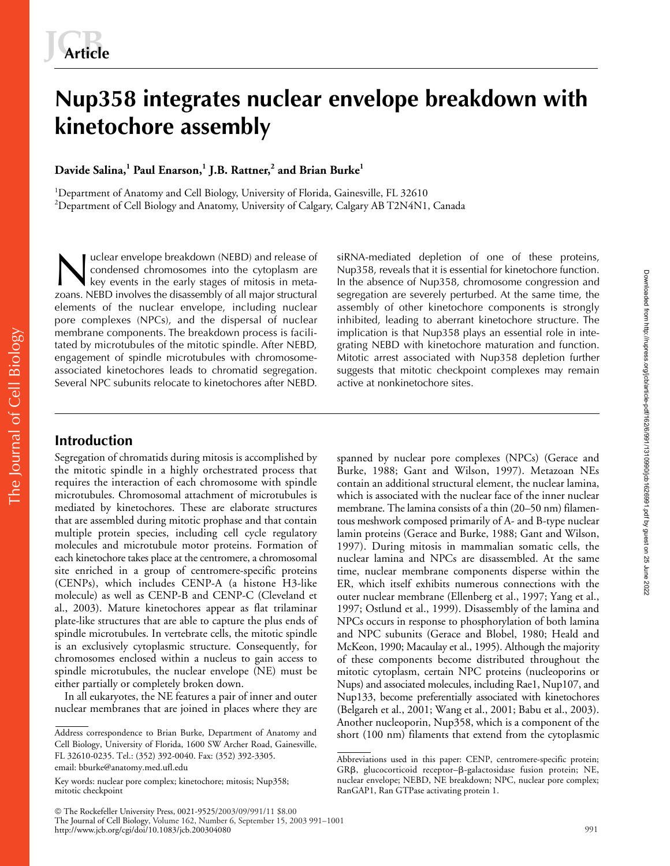# **Nup358 integrates nuclear envelope breakdown with kinetochore assembly**

**Davide Salina,<sup>1</sup> Paul Enarson,<sup>1</sup> J.B. Rattner,<sup>2</sup> and Brian Burke<sup>1</sup>**

<sup>1</sup>Department of Anatomy and Cell Biology, University of Florida, Gainesville, FL 32610  $^2$ Department of Cell Biology and Anatomy, University of Calgary, Calgary AB T2N4N1, Canada

uclear envelope breakdown (NEBD) and release of condensed chromosomes into the cytoplasm are key events in the early stages of mitosis in metazoans. NEBD involves the disassembly of all major structural elements of the nuclear envelope, including nuclear pore complexes (NPCs), and the dispersal of nuclear membrane components. The breakdown process is facilitated by microtubules of the mitotic spindle. After NEBD, engagement of spindle microtubules with chromosomeassociated kinetochores leads to chromatid segregation. Several NPC subunits relocate to kinetochores after NEBD. I uclear envelope breakdown (NEBD) and release of siRNA-mediated depletion of one of these proteins,<br>
siRNA-mediated depletion of one of these proteins,<br>
key events in the early stages of mitosis in meta-<br>
In the absence o

Nup358, reveals that it is essential for kinetochore function. In the absence of Nup358, chromosome congression and segregation are severely perturbed. At the same time, the assembly of other kinetochore components is strongly inhibited, leading to aberrant kinetochore structure. The implication is that Nup358 plays an essential role in integrating NEBD with kinetochore maturation and function. Mitotic arrest associated with Nup358 depletion further suggests that mitotic checkpoint complexes may remain active at nonkinetochore sites.

Segregation of chromatids during mitosis is accomplished by the mitotic spindle in a highly orchestrated process that requires the interaction of each chromosome with spindle microtubules. Chromosomal attachment of microtubules is mediated by kinetochores. These are elaborate structures that are assembled during mitotic prophase and that contain multiple protein species, including cell cycle regulatory molecules and microtubule motor proteins. Formation of each kinetochore takes place at the centromere, a chromosomal site enriched in a group of centromere-specific proteins (CENPs), which includes CENP-A (a histone H3-like molecule) as well as CENP-B and CENP-C (Cleveland et al., 2003). Mature kinetochores appear as flat trilaminar plate-like structures that are able to capture the plus ends of spindle microtubules. In vertebrate cells, the mitotic spindle is an exclusively cytoplasmic structure. Consequently, for chromosomes enclosed within a nucleus to gain access to spindle microtubules, the nuclear envelope (NE) must be either partially or completely broken down.

In all eukaryotes, the NE features a pair of inner and outer nuclear membranes that are joined in places where they are

spanned by nuclear pore complexes (NPCs) (Gerace and Burke, 1988; Gant and Wilson, 1997). Metazoan NEs contain an additional structural element, the nuclear lamina, which is associated with the nuclear face of the inner nuclear membrane. The lamina consists of a thin (20–50 nm) filamentous meshwork composed primarily of A- and B-type nuclear lamin proteins (Gerace and Burke, 1988; Gant and Wilson, 1997). During mitosis in mammalian somatic cells, the nuclear lamina and NPCs are disassembled. At the same time, nuclear membrane components disperse within the ER, which itself exhibits numerous connections with the outer nuclear membrane (Ellenberg et al., 1997; Yang et al., 1997; Ostlund et al., 1999). Disassembly of the lamina and NPCs occurs in response to phosphorylation of both lamina and NPC subunits (Gerace and Blobel, 1980; Heald and McKeon, 1990; Macaulay et al., 1995). Although the majority of these components become distributed throughout the mitotic cytoplasm, certain NPC proteins (nucleoporins or Nups) and associated molecules, including Rae1, Nup107, and Nup133, become preferentially associated with kinetochores (Belgareh et al., 2001; Wang et al., 2001; Babu et al., 2003). Another nucleoporin, Nup358, which is a component of the Downloaded from http://rupress.org/jcb/article-pdf/162/6/991/1310990/jcb1626991.pdf by guest on 25 June 2022 Downloaded from http://rupress.org/jcb/article-pdf/162/6/991/1310990/jcb1626991.pdf by guest on 25 June 2022

Address correspondence to Brian Burke, Department of Anatomy and short (100 nm) filaments that extend from the cytoplasmic<br>Cell Biology, University of Florida, 1600 SW Archer Road, Gainesville, FL 32610-0235. Tel.: (352) 392-0040. Fax: (352) 392-3305. email: bburke@anatomy.med.ufl.edu

Key words: nuclear pore complex; kinetochore; mitosis; Nup358; mitotic checkpoint

Abbreviations used in this paper: CENP, centromere-specific protein; GRB, glucocorticoid receptor-B-galactosidase fusion protein; NE, nuclear envelope; NEBD, NE breakdown; NPC, nuclear pore complex; RanGAP1, Ran GTPase activating protein 1.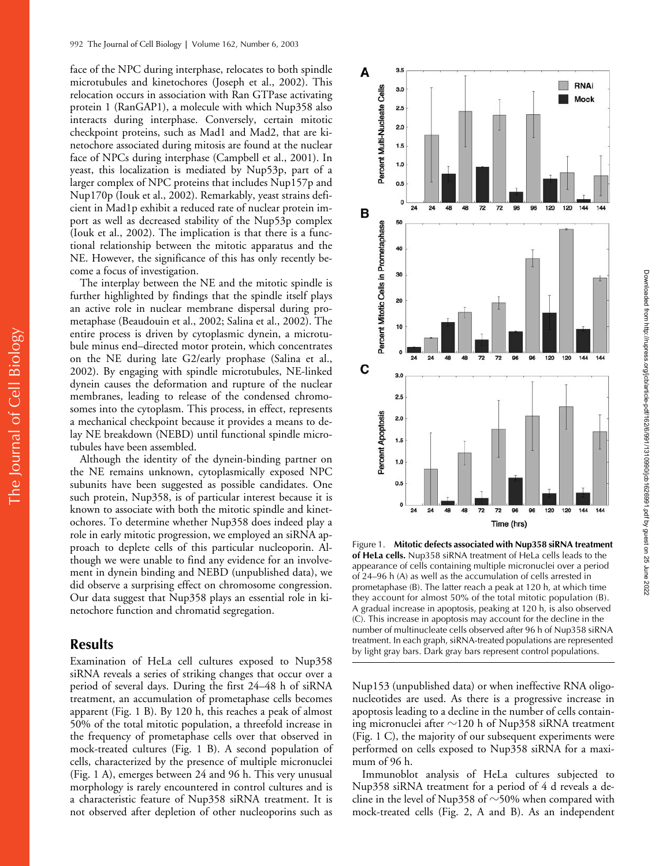face of the NPC during interphase, relocates to both spindle microtubules and kinetochores (Joseph et al., 2002). This relocation occurs in association with Ran GTPase activating protein 1 (RanGAP1), a molecule with which Nup358 also interacts during interphase. Conversely, certain mitotic checkpoint proteins, such as Mad1 and Mad2, that are kinetochore associated during mitosis are found at the nuclear face of NPCs during interphase (Campbell et al., 2001). In yeast, this localization is mediated by Nup53p, part of a larger complex of NPC proteins that includes Nup157p and Nup170p (Iouk et al., 2002). Remarkably, yeast strains deficient in Mad1p exhibit a reduced rate of nuclear protein import as well as decreased stability of the Nup53p complex (Iouk et al., 2002). The implication is that there is a functional relationship between the mitotic apparatus and the NE. However, the significance of this has only recently become a focus of investigation.

The interplay between the NE and the mitotic spindle is further highlighted by findings that the spindle itself plays an active role in nuclear membrane dispersal during prometaphase (Beaudouin et al., 2002; Salina et al., 2002). The entire process is driven by cytoplasmic dynein, a microtubule minus end–directed motor protein, which concentrates on the NE during late G2/early prophase (Salina et al., 2002). By engaging with spindle microtubules, NE-linked dynein causes the deformation and rupture of the nuclear membranes, leading to release of the condensed chromosomes into the cytoplasm. This process, in effect, represents a mechanical checkpoint because it provides a means to delay NE breakdown (NEBD) until functional spindle microtubules have been assembled.

Although the identity of the dynein-binding partner on the NE remains unknown, cytoplasmically exposed NPC subunits have been suggested as possible candidates. One such protein, Nup358, is of particular interest because it is known to associate with both the mitotic spindle and kinetochores. To determine whether Nup358 does indeed play a role in early mitotic progression, we employed an siRNA approach to deplete cells of this particular nucleoporin. Although we were unable to find any evidence for an involvement in dynein binding and NEBD (unpublished data), we did observe a surprising effect on chromosome congression. Our data suggest that Nup358 plays an essential role in kinetochore function and chromatid segregation.

## **Results**

Examination of HeLa cell cultures exposed to Nup358 siRNA reveals a series of striking changes that occur over a period of several days. During the first 24–48 h of siRNA treatment, an accumulation of prometaphase cells becomes apparent (Fig. 1 B). By 120 h, this reaches a peak of almost 50% of the total mitotic population, a threefold increase in the frequency of prometaphase cells over that observed in mock-treated cultures (Fig. 1 B). A second population of cells, characterized by the presence of multiple micronuclei (Fig. 1 A), emerges between 24 and 96 h. This very unusual morphology is rarely encountered in control cultures and is a characteristic feature of Nup358 siRNA treatment. It is not observed after depletion of other nucleoporins such as



Figure 1. **Mitotic defects associated with Nup358 siRNA treatment of HeLa cells.** Nup358 siRNA treatment of HeLa cells leads to the appearance of cells containing multiple micronuclei over a period of 24–96 h (A) as well as the accumulation of cells arrested in prometaphase (B). The latter reach a peak at 120 h, at which time they account for almost 50% of the total mitotic population (B). A gradual increase in apoptosis, peaking at 120 h, is also observed (C). This increase in apoptosis may account for the decline in the number of multinucleate cells observed after 96 h of Nup358 siRNA treatment. In each graph, siRNA-treated populations are represented by light gray bars. Dark gray bars represent control populations.

Nup153 (unpublished data) or when ineffective RNA oligonucleotides are used. As there is a progressive increase in apoptosis leading to a decline in the number of cells containing micronuclei after  ${\sim}$ 120 h of Nup358 siRNA treatment (Fig. 1 C), the majority of our subsequent experiments were performed on cells exposed to Nup358 siRNA for a maximum of 96 h.

Immunoblot analysis of HeLa cultures subjected to Nup358 siRNA treatment for a period of 4 d reveals a decline in the level of Nup358 of  $\sim$ 50% when compared with mock-treated cells (Fig. 2, A and B). As an independent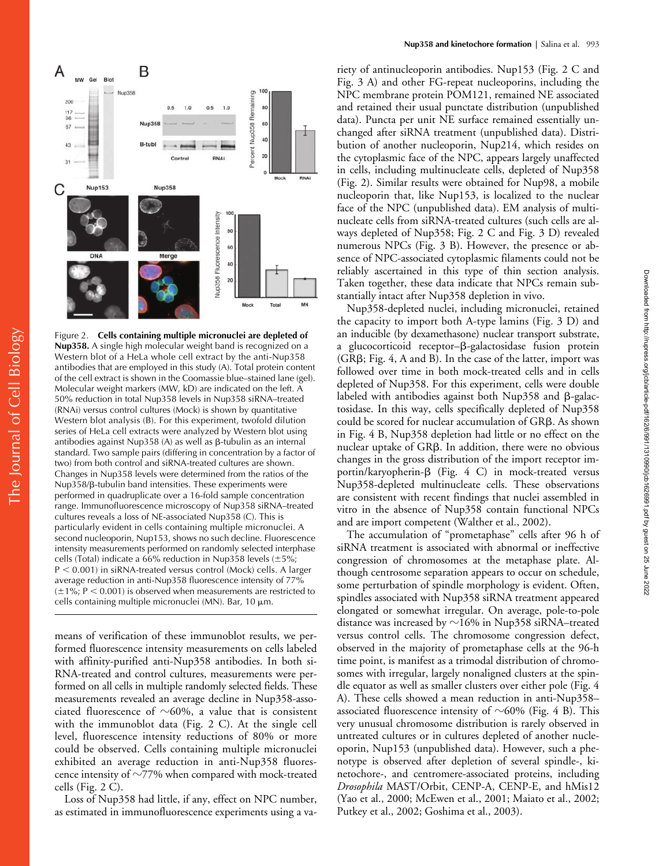

The Journal of Cell Biology The Journal of Cell Biology

Figure 2. **Cells containing multiple micronuclei are depleted of Nup358.** A single high molecular weight band is recognized on a Western blot of a HeLa whole cell extract by the anti-Nup358 antibodies that are employed in this study (A). Total protein content of the cell extract is shown in the Coomassie blue–stained lane (gel). Molecular weight markers (MW, kD) are indicated on the left. A 50% reduction in total Nup358 levels in Nup358 siRNA–treated (RNAi) versus control cultures (Mock) is shown by quantitative Western blot analysis (B). For this experiment, twofold dilution series of HeLa cell extracts were analyzed by Western blot using antibodies against Nup358 (A) as well as β-tubulin as an internal standard. Two sample pairs (differing in concentration by a factor of two) from both control and siRNA-treated cultures are shown. Changes in Nup358 levels were determined from the ratios of the Nup358/ß-tubulin band intensities. These experiments were performed in quadruplicate over a 16-fold sample concentration range. Immunofluorescence microscopy of Nup358 siRNA–treated cultures reveals a loss of NE-associated Nup358 (C). This is particularly evident in cells containing multiple micronuclei. A second nucleoporin, Nup153, shows no such decline. Fluorescence intensity measurements performed on randomly selected interphase cells (Total) indicate a 66% reduction in Nup358 levels  $(\pm 5\%;$  $P < 0.001$ ) in siRNA-treated versus control (Mock) cells. A larger average reduction in anti-Nup358 fluorescence intensity of 77%  $(\pm 1\%; P < 0.001)$  is observed when measurements are restricted to cells containing multiple micronuclei (MN). Bar, 10  $\mu$ m.

means of verification of these immunoblot results, we performed fluorescence intensity measurements on cells labeled with affinity-purified anti-Nup358 antibodies. In both si-RNA-treated and control cultures, measurements were performed on all cells in multiple randomly selected fields. These measurements revealed an average decline in Nup358-associated fluorescence of  $\sim$ 60%, a value that is consistent with the immunoblot data (Fig. 2 C). At the single cell level, fluorescence intensity reductions of 80% or more could be observed. Cells containing multiple micronuclei exhibited an average reduction in anti-Nup358 fluorescence intensity of  $\sim$ 77% when compared with mock-treated cells (Fig. 2 C).

Loss of Nup358 had little, if any, effect on NPC number, as estimated in immunofluorescence experiments using a variety of antinucleoporin antibodies. Nup153 (Fig. 2 C and Fig. 3 A) and other FG-repeat nucleoporins, including the NPC membrane protein POM121, remained NE associated and retained their usual punctate distribution (unpublished data). Puncta per unit NE surface remained essentially unchanged after siRNA treatment (unpublished data). Distribution of another nucleoporin, Nup214, which resides on the cytoplasmic face of the NPC, appears largely unaffected in cells, including multinucleate cells, depleted of Nup358 (Fig. 2). Similar results were obtained for Nup98, a mobile nucleoporin that, like Nup153, is localized to the nuclear face of the NPC (unpublished data). EM analysis of multinucleate cells from siRNA-treated cultures (such cells are always depleted of Nup358; Fig. 2 C and Fig. 3 D) revealed numerous NPCs (Fig. 3 B). However, the presence or absence of NPC-associated cytoplasmic filaments could not be reliably ascertained in this type of thin section analysis. Taken together, these data indicate that NPCs remain substantially intact after Nup358 depletion in vivo.

Nup358-depleted nuclei, including micronuclei, retained the capacity to import both A-type lamins (Fig. 3 D) and an inducible (by dexamethasone) nuclear transport substrate, a glucocorticoid receptor–ß-galactosidase fusion protein (GRB; Fig. 4, A and B). In the case of the latter, import was followed over time in both mock-treated cells and in cells depleted of Nup358. For this experiment, cells were double labeled with antibodies against both Nup358 and  $\beta$ -galactosidase. In this way, cells specifically depleted of Nup358 could be scored for nuclear accumulation of GRB. As shown in Fig. 4 B, Nup358 depletion had little or no effect on the nuclear uptake of GR $\beta$ . In addition, there were no obvious changes in the gross distribution of the import receptor importin/karyopherin- $\beta$  (Fig. 4 C) in mock-treated versus Nup358-depleted multinucleate cells. These observations are consistent with recent findings that nuclei assembled in vitro in the absence of Nup358 contain functional NPCs and are import competent (Walther et al., 2002).

The accumulation of "prometaphase" cells after 96 h of siRNA treatment is associated with abnormal or ineffective congression of chromosomes at the metaphase plate. Although centrosome separation appears to occur on schedule, some perturbation of spindle morphology is evident. Often, spindles associated with Nup358 siRNA treatment appeared elongated or somewhat irregular. On average, pole-to-pole distance was increased by  ${\sim}16\%$  in Nup358 siRNA–treated versus control cells. The chromosome congression defect, observed in the majority of prometaphase cells at the 96-h time point, is manifest as a trimodal distribution of chromosomes with irregular, largely nonaligned clusters at the spindle equator as well as smaller clusters over either pole (Fig. 4 A). These cells showed a mean reduction in anti-Nup358– associated fluorescence intensity of  $\sim$ 60% (Fig. 4 B). This very unusual chromosome distribution is rarely observed in untreated cultures or in cultures depleted of another nucleoporin, Nup153 (unpublished data). However, such a phenotype is observed after depletion of several spindle-, kinetochore-, and centromere-associated proteins, including *Drosophila* MAST/Orbit, CENP-A, CENP-E, and hMis12 (Yao et al., 2000; McEwen et al., 2001; Maiato et al., 2002; Putkey et al., 2002; Goshima et al., 2003).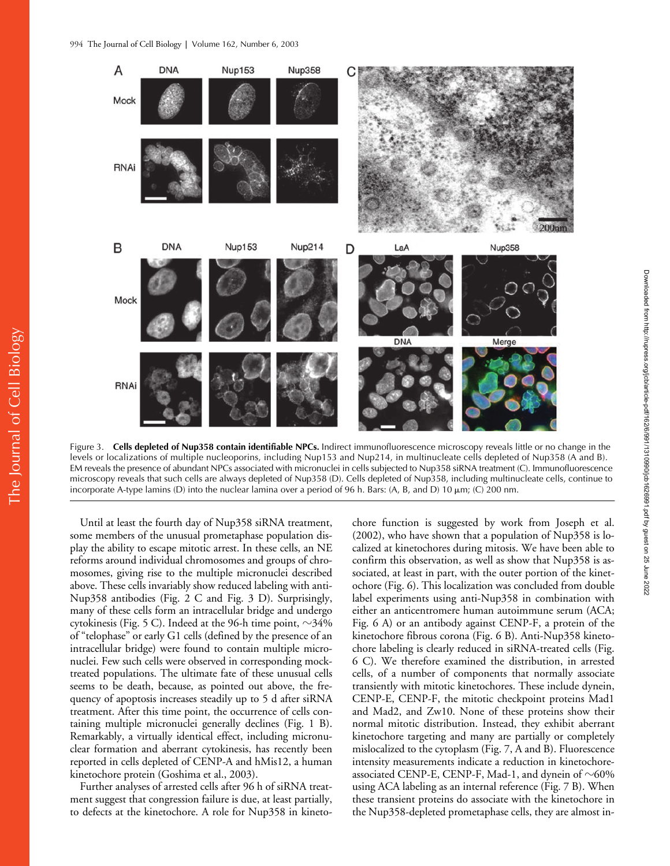

Figure 3. **Cells depleted of Nup358 contain identifiable NPCs.** Indirect immunofluorescence microscopy reveals little or no change in the levels or localizations of multiple nucleoporins, including Nup153 and Nup214, in multinucleate cells depleted of Nup358 (A and B). EM reveals the presence of abundant NPCs associated with micronuclei in cells subjected to Nup358 siRNA treatment (C). Immunofluorescence microscopy reveals that such cells are always depleted of Nup358 (D). Cells depleted of Nup358, including multinucleate cells, continue to incorporate A-type lamins (D) into the nuclear lamina over a period of 96 h. Bars: (A, B, and D) 10  $\mu$ m; (C) 200 nm.

Until at least the fourth day of Nup358 siRNA treatment, some members of the unusual prometaphase population display the ability to escape mitotic arrest. In these cells, an NE reforms around individual chromosomes and groups of chromosomes, giving rise to the multiple micronuclei described above. These cells invariably show reduced labeling with anti-Nup358 antibodies (Fig. 2 C and Fig. 3 D). Surprisingly, many of these cells form an intracellular bridge and undergo cytokinesis (Fig. 5 C). Indeed at the 96-h time point,  $\sim$ 34% of "telophase" or early G1 cells (defined by the presence of an intracellular bridge) were found to contain multiple micronuclei. Few such cells were observed in corresponding mocktreated populations. The ultimate fate of these unusual cells seems to be death, because, as pointed out above, the frequency of apoptosis increases steadily up to 5 d after siRNA treatment. After this time point, the occurrence of cells containing multiple micronuclei generally declines (Fig. 1 B). Remarkably, a virtually identical effect, including micronuclear formation and aberrant cytokinesis, has recently been reported in cells depleted of CENP-A and hMis12, a human kinetochore protein (Goshima et al., 2003).

Further analyses of arrested cells after 96 h of siRNA treatment suggest that congression failure is due, at least partially, to defects at the kinetochore. A role for Nup358 in kinetochore function is suggested by work from Joseph et al. (2002), who have shown that a population of Nup358 is localized at kinetochores during mitosis. We have been able to confirm this observation, as well as show that Nup358 is associated, at least in part, with the outer portion of the kinetochore (Fig. 6). This localization was concluded from double label experiments using anti-Nup358 in combination with either an anticentromere human autoimmune serum (ACA; Fig. 6 A) or an antibody against CENP-F, a protein of the kinetochore fibrous corona (Fig. 6 B). Anti-Nup358 kinetochore labeling is clearly reduced in siRNA-treated cells (Fig. 6 C). We therefore examined the distribution, in arrested cells, of a number of components that normally associate transiently with mitotic kinetochores. These include dynein, CENP-E, CENP-F, the mitotic checkpoint proteins Mad1 and Mad2, and Zw10. None of these proteins show their normal mitotic distribution. Instead, they exhibit aberrant kinetochore targeting and many are partially or completely mislocalized to the cytoplasm (Fig. 7, A and B). Fluorescence intensity measurements indicate a reduction in kinetochoreassociated CENP-E, CENP-F, Mad-1, and dynein of  $\sim\!\!60\%$ using ACA labeling as an internal reference (Fig. 7 B). When these transient proteins do associate with the kinetochore in the Nup358-depleted prometaphase cells, they are almost in-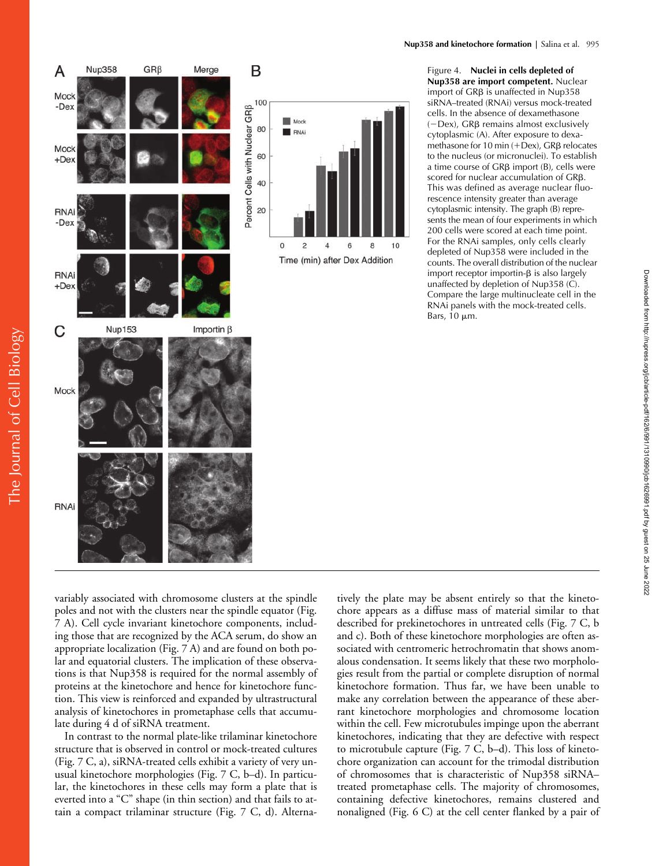

Figure 4. **Nuclei in cells depleted of Nup358 are import competent.** Nuclear import of  $GR\beta$  is unaffected in Nup358 siRNA–treated (RNAi) versus mock-treated cells. In the absence of dexamethasone  $(-$ Dex), GR $\beta$  remains almost exclusively cytoplasmic (A). After exposure to dexamethasone for 10 min  $(+$ Dex), GR $\beta$  relocates to the nucleus (or micronuclei). To establish a time course of  $GR\beta$  import (B), cells were scored for nuclear accumulation of  $GR\beta$ . This was defined as average nuclear fluorescence intensity greater than average cytoplasmic intensity. The graph (B) represents the mean of four experiments in which 200 cells were scored at each time point. For the RNAi samples, only cells clearly depleted of Nup358 were included in the counts. The overall distribution of the nuclear import receptor importin- $\beta$  is also largely unaffected by depletion of Nup358 (C). Compare the large multinucleate cell in the RNAi panels with the mock-treated cells. Bars,  $10 \mu m$ .

Downloaded from http://rupress.org/jcb/article-pdf/162/6/991/1310990/jcb1626991.pdf by guest on 25 June 2022

Downloaded from http://rupress.org/jcb/article-pdf/162/6/991/1310990/jcb1626991.pdf by guest on 25 June 2022

variably associated with chromosome clusters at the spindle poles and not with the clusters near the spindle equator (Fig. 7 A). Cell cycle invariant kinetochore components, including those that are recognized by the ACA serum, do show an appropriate localization (Fig. 7 A) and are found on both polar and equatorial clusters. The implication of these observations is that Nup358 is required for the normal assembly of proteins at the kinetochore and hence for kinetochore function. This view is reinforced and expanded by ultrastructural analysis of kinetochores in prometaphase cells that accumulate during 4 d of siRNA treatment.

In contrast to the normal plate-like trilaminar kinetochore structure that is observed in control or mock-treated cultures (Fig. 7 C, a), siRNA-treated cells exhibit a variety of very unusual kinetochore morphologies (Fig. 7 C, b–d). In particular, the kinetochores in these cells may form a plate that is everted into a "C" shape (in thin section) and that fails to attain a compact trilaminar structure (Fig. 7 C, d). Alternatively the plate may be absent entirely so that the kinetochore appears as a diffuse mass of material similar to that described for prekinetochores in untreated cells (Fig. 7 C, b and c). Both of these kinetochore morphologies are often associated with centromeric hetrochromatin that shows anomalous condensation. It seems likely that these two morphologies result from the partial or complete disruption of normal kinetochore formation. Thus far, we have been unable to make any correlation between the appearance of these aberrant kinetochore morphologies and chromosome location within the cell. Few microtubules impinge upon the aberrant kinetochores, indicating that they are defective with respect to microtubule capture (Fig. 7 C, b–d). This loss of kinetochore organization can account for the trimodal distribution of chromosomes that is characteristic of Nup358 siRNA– treated prometaphase cells. The majority of chromosomes, containing defective kinetochores, remains clustered and nonaligned (Fig. 6 C) at the cell center flanked by a pair of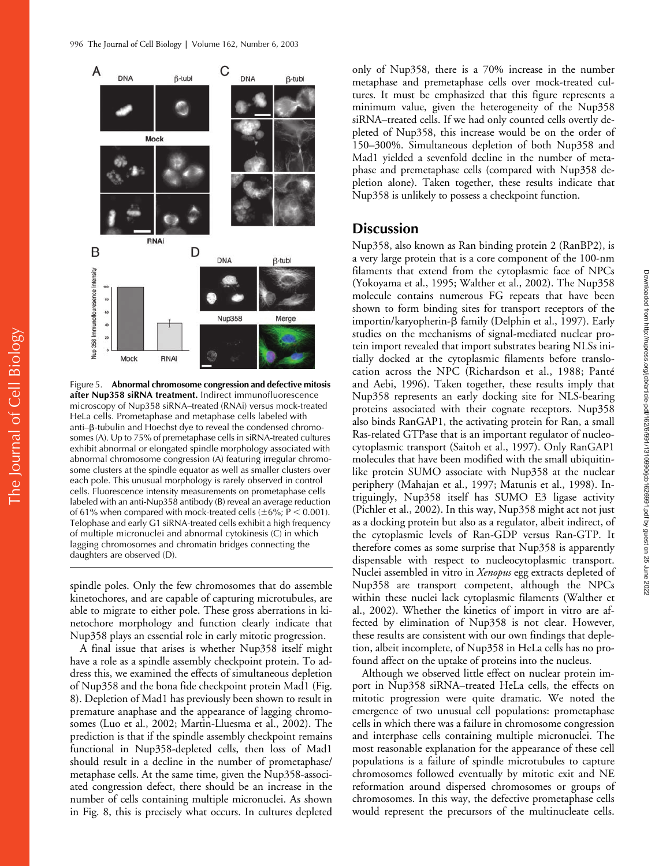

Figure 5. **Abnormal chromosome congression and defective mitosis after Nup358 siRNA treatment.** Indirect immunofluorescence microscopy of Nup358 siRNA–treated (RNAi) versus mock-treated HeLa cells. Prometaphase and metaphase cells labeled with anti–β-tubulin and Hoechst dye to reveal the condensed chromosomes (A). Up to 75% of premetaphase cells in siRNA-treated cultures exhibit abnormal or elongated spindle morphology associated with abnormal chromosome congression (A) featuring irregular chromosome clusters at the spindle equator as well as smaller clusters over each pole. This unusual morphology is rarely observed in control cells. Fluorescence intensity measurements on prometaphase cells labeled with an anti-Nup358 antibody (B) reveal an average reduction of 61% when compared with mock-treated cells ( $\pm 6\%$ ; P < 0.001). Telophase and early G1 siRNA-treated cells exhibit a high frequency of multiple micronuclei and abnormal cytokinesis (C) in which lagging chromosomes and chromatin bridges connecting the daughters are observed (D).

spindle poles. Only the few chromosomes that do assemble kinetochores, and are capable of capturing microtubules, are able to migrate to either pole. These gross aberrations in kinetochore morphology and function clearly indicate that Nup358 plays an essential role in early mitotic progression.

A final issue that arises is whether Nup358 itself might have a role as a spindle assembly checkpoint protein. To address this, we examined the effects of simultaneous depletion of Nup358 and the bona fide checkpoint protein Mad1 (Fig. 8). Depletion of Mad1 has previously been shown to result in premature anaphase and the appearance of lagging chromosomes (Luo et al., 2002; Martin-Lluesma et al., 2002). The prediction is that if the spindle assembly checkpoint remains functional in Nup358-depleted cells, then loss of Mad1 should result in a decline in the number of prometaphase/ metaphase cells. At the same time, given the Nup358-associated congression defect, there should be an increase in the number of cells containing multiple micronuclei. As shown in Fig. 8, this is precisely what occurs. In cultures depleted

only of Nup358, there is a 70% increase in the number metaphase and premetaphase cells over mock-treated cultures. It must be emphasized that this figure represents a minimum value, given the heterogeneity of the Nup358 siRNA–treated cells. If we had only counted cells overtly depleted of Nup358, this increase would be on the order of 150–300%. Simultaneous depletion of both Nup358 and Mad1 yielded a sevenfold decline in the number of metaphase and premetaphase cells (compared with Nup358 depletion alone). Taken together, these results indicate that Nup358 is unlikely to possess a checkpoint function.

## **Discussion**

Nup358, also known as Ran binding protein 2 (RanBP2), is a very large protein that is a core component of the 100-nm filaments that extend from the cytoplasmic face of NPCs (Yokoyama et al., 1995; Walther et al., 2002). The Nup358 molecule contains numerous FG repeats that have been shown to form binding sites for transport receptors of the importin/karyopherin-β family (Delphin et al., 1997). Early studies on the mechanisms of signal-mediated nuclear protein import revealed that import substrates bearing NLSs initially docked at the cytoplasmic filaments before translocation across the NPC (Richardson et al., 1988; Panté and Aebi, 1996). Taken together, these results imply that Nup358 represents an early docking site for NLS-bearing proteins associated with their cognate receptors. Nup358 also binds RanGAP1, the activating protein for Ran, a small Ras-related GTPase that is an important regulator of nucleocytoplasmic transport (Saitoh et al., 1997). Only RanGAP1 molecules that have been modified with the small ubiquitinlike protein SUMO associate with Nup358 at the nuclear periphery (Mahajan et al., 1997; Matunis et al., 1998). Intriguingly, Nup358 itself has SUMO E3 ligase activity (Pichler et al., 2002). In this way, Nup358 might act not just as a docking protein but also as a regulator, albeit indirect, of the cytoplasmic levels of Ran-GDP versus Ran-GTP. It therefore comes as some surprise that Nup358 is apparently dispensable with respect to nucleocytoplasmic transport. Nuclei assembled in vitro in *Xenopus* egg extracts depleted of Nup358 are transport competent, although the NPCs within these nuclei lack cytoplasmic filaments (Walther et al., 2002). Whether the kinetics of import in vitro are affected by elimination of Nup358 is not clear. However, these results are consistent with our own findings that depletion, albeit incomplete, of Nup358 in HeLa cells has no profound affect on the uptake of proteins into the nucleus.

Although we observed little effect on nuclear protein import in Nup358 siRNA–treated HeLa cells, the effects on mitotic progression were quite dramatic. We noted the emergence of two unusual cell populations: prometaphase cells in which there was a failure in chromosome congression and interphase cells containing multiple micronuclei. The most reasonable explanation for the appearance of these cell populations is a failure of spindle microtubules to capture chromosomes followed eventually by mitotic exit and NE reformation around dispersed chromosomes or groups of chromosomes. In this way, the defective prometaphase cells would represent the precursors of the multinucleate cells.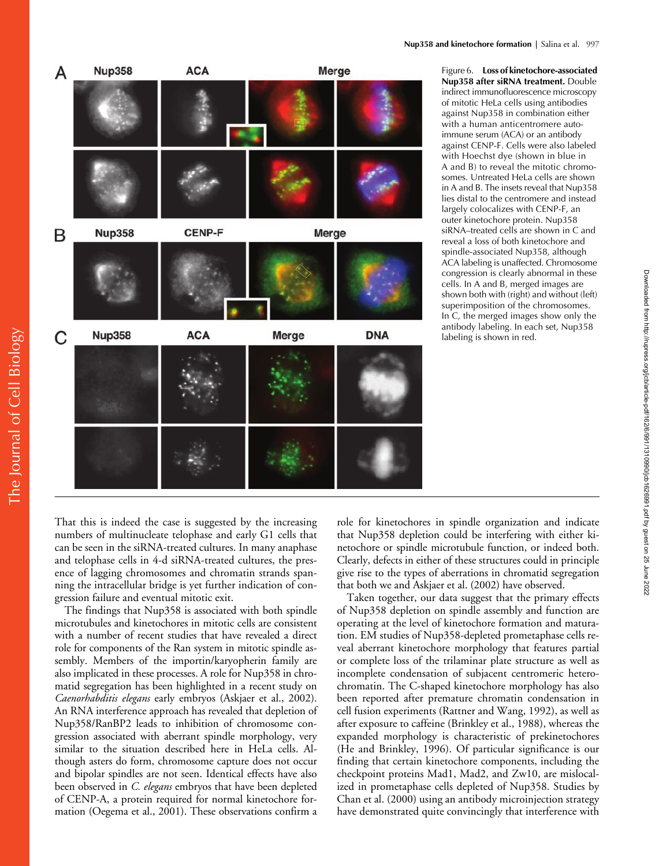

Figure 6. **Loss of kinetochore-associated Nup358 after siRNA treatment.** Double indirect immunofluorescence microscopy of mitotic HeLa cells using antibodies against Nup358 in combination either with a human anticentromere autoimmune serum (ACA) or an antibody against CENP-F. Cells were also labeled with Hoechst dye (shown in blue in A and B) to reveal the mitotic chromosomes. Untreated HeLa cells are shown in A and B. The insets reveal that Nup358 lies distal to the centromere and instead largely colocalizes with CENP-F, an outer kinetochore protein. Nup358 siRNA–treated cells are shown in C and reveal a loss of both kinetochore and spindle-associated Nup358, although ACA labeling is unaffected. Chromosome congression is clearly abnormal in these cells. In A and B, merged images are shown both with (right) and without (left) superimposition of the chromosomes. In C, the merged images show only the antibody labeling. In each set, Nup358 labeling is shown in red.

That this is indeed the case is suggested by the increasing numbers of multinucleate telophase and early G1 cells that can be seen in the siRNA-treated cultures. In many anaphase and telophase cells in 4-d siRNA-treated cultures, the presence of lagging chromosomes and chromatin strands spanning the intracellular bridge is yet further indication of congression failure and eventual mitotic exit.

The findings that Nup358 is associated with both spindle microtubules and kinetochores in mitotic cells are consistent with a number of recent studies that have revealed a direct role for components of the Ran system in mitotic spindle assembly. Members of the importin/karyopherin family are also implicated in these processes. A role for Nup358 in chromatid segregation has been highlighted in a recent study on *Caenorhabditis elegans* early embryos (Askjaer et al., 2002). An RNA interference approach has revealed that depletion of Nup358/RanBP2 leads to inhibition of chromosome congression associated with aberrant spindle morphology, very similar to the situation described here in HeLa cells. Although asters do form, chromosome capture does not occur and bipolar spindles are not seen. Identical effects have also been observed in *C. elegans* embryos that have been depleted of CENP-A, a protein required for normal kinetochore formation (Oegema et al., 2001). These observations confirm a role for kinetochores in spindle organization and indicate that Nup358 depletion could be interfering with either kinetochore or spindle microtubule function, or indeed both. Clearly, defects in either of these structures could in principle give rise to the types of aberrations in chromatid segregation that both we and Askjaer et al. (2002) have observed.

Taken together, our data suggest that the primary effects of Nup358 depletion on spindle assembly and function are operating at the level of kinetochore formation and maturation. EM studies of Nup358-depleted prometaphase cells reveal aberrant kinetochore morphology that features partial or complete loss of the trilaminar plate structure as well as incomplete condensation of subjacent centromeric heterochromatin. The C-shaped kinetochore morphology has also been reported after premature chromatin condensation in cell fusion experiments (Rattner and Wang, 1992), as well as after exposure to caffeine (Brinkley et al., 1988), whereas the expanded morphology is characteristic of prekinetochores (He and Brinkley, 1996). Of particular significance is our finding that certain kinetochore components, including the checkpoint proteins Mad1, Mad2, and Zw10, are mislocalized in prometaphase cells depleted of Nup358. Studies by Chan et al. (2000) using an antibody microinjection strategy have demonstrated quite convincingly that interference with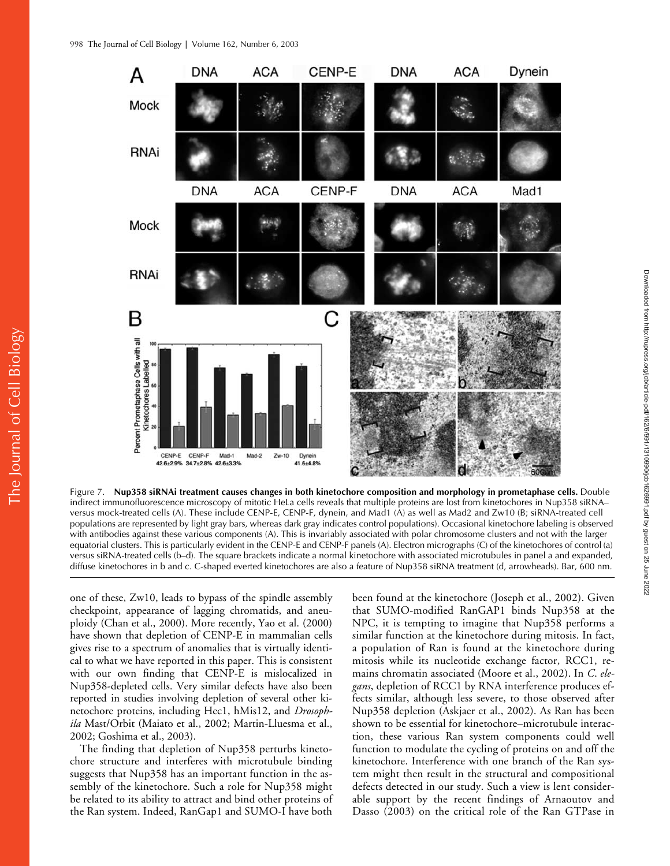

Figure 7. **Nup358 siRNAi treatment causes changes in both kinetochore composition and morphology in prometaphase cells.** Double indirect immunofluorescence microscopy of mitotic HeLa cells reveals that multiple proteins are lost from kinetochores in Nup358 siRNA– versus mock-treated cells (A). These include CENP-E, CENP-F, dynein, and Mad1 (A) as well as Mad2 and Zw10 (B; siRNA-treated cell populations are represented by light gray bars, whereas dark gray indicates control populations). Occasional kinetochore labeling is observed with antibodies against these various components (A). This is invariably associated with polar chromosome clusters and not with the larger equatorial clusters. This is particularly evident in the CENP-E and CENP-F panels (A). Electron micrographs (C) of the kinetochores of control (a) versus siRNA-treated cells (b–d). The square brackets indicate a normal kinetochore with associated microtubules in panel a and expanded, diffuse kinetochores in b and c. C-shaped everted kinetochores are also a feature of Nup358 siRNA treatment (d, arrowheads). Bar, 600 nm.

one of these, Zw10, leads to bypass of the spindle assembly checkpoint, appearance of lagging chromatids, and aneuploidy (Chan et al., 2000). More recently, Yao et al. (2000) have shown that depletion of CENP-E in mammalian cells gives rise to a spectrum of anomalies that is virtually identical to what we have reported in this paper. This is consistent with our own finding that CENP-E is mislocalized in Nup358-depleted cells. Very similar defects have also been reported in studies involving depletion of several other kinetochore proteins, including Hec1, hMis12, and *Drosophila* Mast/Orbit (Maiato et al., 2002; Martin-Lluesma et al., 2002; Goshima et al., 2003).

The finding that depletion of Nup358 perturbs kinetochore structure and interferes with microtubule binding suggests that Nup358 has an important function in the assembly of the kinetochore. Such a role for Nup358 might be related to its ability to attract and bind other proteins of the Ran system. Indeed, RanGap1 and SUMO-I have both

been found at the kinetochore (Joseph et al., 2002). Given that SUMO-modified RanGAP1 binds Nup358 at the NPC, it is tempting to imagine that Nup358 performs a similar function at the kinetochore during mitosis. In fact, a population of Ran is found at the kinetochore during mitosis while its nucleotide exchange factor, RCC1, remains chromatin associated (Moore et al., 2002). In *C*. *elegans*, depletion of RCC1 by RNA interference produces effects similar, although less severe, to those observed after Nup358 depletion (Askjaer et al., 2002). As Ran has been shown to be essential for kinetochore–microtubule interaction, these various Ran system components could well function to modulate the cycling of proteins on and off the kinetochore. Interference with one branch of the Ran system might then result in the structural and compositional defects detected in our study. Such a view is lent considerable support by the recent findings of Arnaoutov and Dasso (2003) on the critical role of the Ran GTPase in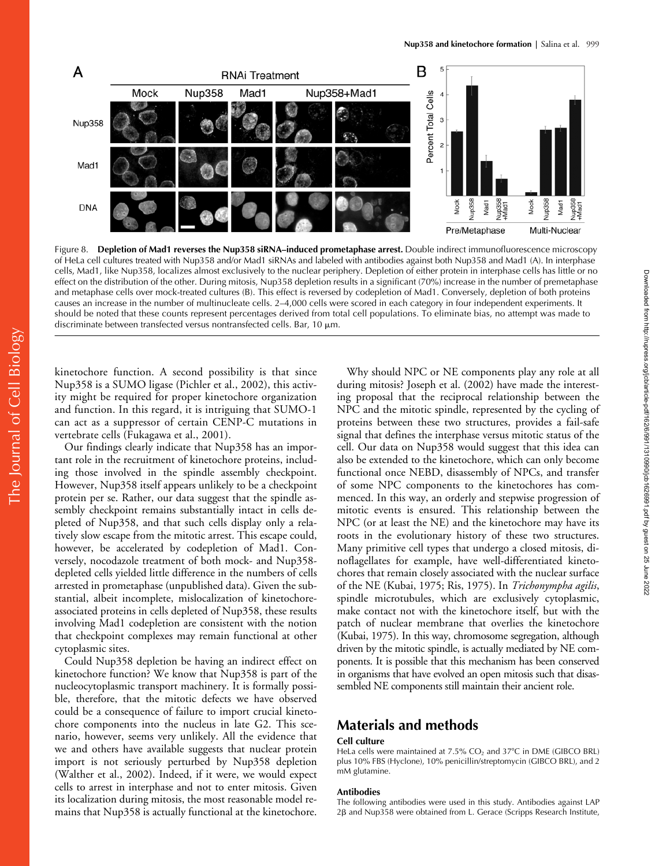

Figure 8. **Depletion of Mad1 reverses the Nup358 siRNA–induced prometaphase arrest.** Double indirect immunofluorescence microscopy of HeLa cell cultures treated with Nup358 and/or Mad1 siRNAs and labeled with antibodies against both Nup358 and Mad1 (A). In interphase cells, Mad1, like Nup358, localizes almost exclusively to the nuclear periphery. Depletion of either protein in interphase cells has little or no effect on the distribution of the other. During mitosis, Nup358 depletion results in a significant (70%) increase in the number of premetaphase and metaphase cells over mock-treated cultures (B). This effect is reversed by codepletion of Mad1. Conversely, depletion of both proteins causes an increase in the number of multinucleate cells. 2–4,000 cells were scored in each category in four independent experiments. It should be noted that these counts represent percentages derived from total cell populations. To eliminate bias, no attempt was made to discriminate between transfected versus nontransfected cells. Bar, 10  $\mu$ m.

kinetochore function. A second possibility is that since Nup358 is a SUMO ligase (Pichler et al., 2002), this activity might be required for proper kinetochore organization and function. In this regard, it is intriguing that SUMO-1 can act as a suppressor of certain CENP-C mutations in vertebrate cells (Fukagawa et al., 2001).

Our findings clearly indicate that Nup358 has an important role in the recruitment of kinetochore proteins, including those involved in the spindle assembly checkpoint. However, Nup358 itself appears unlikely to be a checkpoint protein per se. Rather, our data suggest that the spindle assembly checkpoint remains substantially intact in cells depleted of Nup358, and that such cells display only a relatively slow escape from the mitotic arrest. This escape could, however, be accelerated by codepletion of Mad1. Conversely, nocodazole treatment of both mock- and Nup358 depleted cells yielded little difference in the numbers of cells arrested in prometaphase (unpublished data). Given the substantial, albeit incomplete, mislocalization of kinetochoreassociated proteins in cells depleted of Nup358, these results involving Mad1 codepletion are consistent with the notion that checkpoint complexes may remain functional at other cytoplasmic sites.

Could Nup358 depletion be having an indirect effect on kinetochore function? We know that Nup358 is part of the nucleocytoplasmic transport machinery. It is formally possible, therefore, that the mitotic defects we have observed could be a consequence of failure to import crucial kinetochore components into the nucleus in late G2. This scenario, however, seems very unlikely. All the evidence that we and others have available suggests that nuclear protein import is not seriously perturbed by Nup358 depletion (Walther et al., 2002). Indeed, if it were, we would expect cells to arrest in interphase and not to enter mitosis. Given its localization during mitosis, the most reasonable model remains that Nup358 is actually functional at the kinetochore.

Why should NPC or NE components play any role at all during mitosis? Joseph et al. (2002) have made the interesting proposal that the reciprocal relationship between the NPC and the mitotic spindle, represented by the cycling of proteins between these two structures, provides a fail-safe signal that defines the interphase versus mitotic status of the cell. Our data on Nup358 would suggest that this idea can also be extended to the kinetochore, which can only become functional once NEBD, disassembly of NPCs, and transfer of some NPC components to the kinetochores has commenced. In this way, an orderly and stepwise progression of mitotic events is ensured. This relationship between the NPC (or at least the NE) and the kinetochore may have its roots in the evolutionary history of these two structures. Many primitive cell types that undergo a closed mitosis, dinoflagellates for example, have well-differentiated kinetochores that remain closely associated with the nuclear surface of the NE (Kubai, 1975; Ris, 1975). In *Trichonympha agilis*, spindle microtubules, which are exclusively cytoplasmic, make contact not with the kinetochore itself, but with the patch of nuclear membrane that overlies the kinetochore (Kubai, 1975). In this way, chromosome segregation, although driven by the mitotic spindle, is actually mediated by NE components. It is possible that this mechanism has been conserved in organisms that have evolved an open mitosis such that disassembled NE components still maintain their ancient role.

# **Materials and methods**

#### **Cell culture**

HeLa cells were maintained at  $7.5\%$  CO<sub>2</sub> and  $37^{\circ}$ C in DME (GIBCO BRL) plus 10% FBS (Hyclone), 10% penicillin/streptomycin (GIBCO BRL), and 2 mM glutamine.

### **Antibodies**

The following antibodies were used in this study. Antibodies against LAP 2β and Nup358 were obtained from L. Gerace (Scripps Research Institute,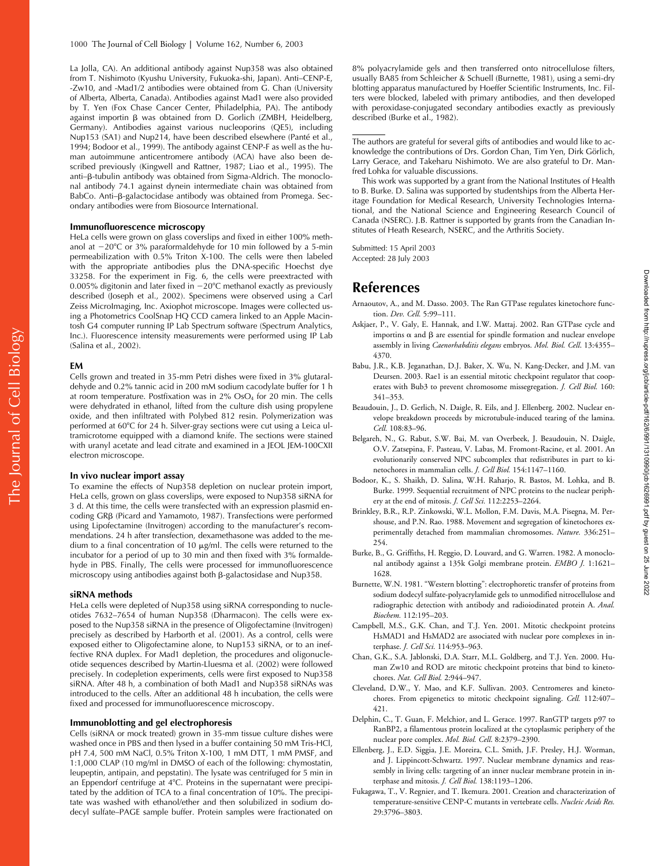La Jolla, CA). An additional antibody against Nup358 was also obtained from T. Nishimoto (Kyushu University, Fukuoka-shi, Japan). Anti–CENP-E, -Zw10, and -Mad1/2 antibodies were obtained from G. Chan (University of Alberta, Alberta, Canada). Antibodies against Mad1 were also provided by T. Yen (Fox Chase Cancer Center, Philadelphia, PA). The antibody against importin β was obtained from D. Gorlich (ZMBH, Heidelberg, Germany). Antibodies against various nucleoporins (QE5), including Nup153 (SA1) and Nup214, have been described elsewhere (Panté et al., 1994; Bodoor et al., 1999). The antibody against CENP-F as well as the human autoimmune anticentromere antibody (ACA) have also been described previously (Kingwell and Rattner, 1987; Liao et al., 1995). The anti–β-tubulin antibody was obtained from Sigma-Aldrich. The monoclonal antibody 74.1 against dynein intermediate chain was obtained from BabCo. Anti-ß-galactocidase antibody was obtained from Promega. Secondary antibodies were from Biosource International.

#### **Immunofluorescence microscopy**

HeLa cells were grown on glass coverslips and fixed in either 100% methanol at  $-20^{\circ}$ C or 3% paraformaldehyde for 10 min followed by a 5-min permeabilization with 0.5% Triton X-100. The cells were then labeled with the appropriate antibodies plus the DNA-specific Hoechst dye 33258. For the experiment in Fig. 6, the cells were preextracted with 0.005% digitonin and later fixed in  $-20^{\circ}$ C methanol exactly as previously described (Joseph et al., 2002). Specimens were observed using a Carl Zeiss MicroImaging, Inc. Axiophot microscope. Images were collected using a Photometrics CoolSnap HQ CCD camera linked to an Apple Macintosh G4 computer running IP Lab Spectrum software (Spectrum Analytics, Inc.). Fluorescence intensity measurements were performed using IP Lab (Salina et al., 2002).

#### **EM**

Cells grown and treated in 35-mm Petri dishes were fixed in 3% glutaraldehyde and 0.2% tannic acid in 200 mM sodium cacodylate buffer for 1 h at room temperature. Postfixation was in  $2\%$  OsO<sub>4</sub> for 20 min. The cells were dehydrated in ethanol, lifted from the culture dish using propylene oxide, and then infiltrated with Polybed 812 resin. Polymerization was performed at 60°C for 24 h. Silver-gray sections were cut using a Leica ultramicrotome equipped with a diamond knife. The sections were stained with uranyl acetate and lead citrate and examined in a JEOL JEM-100CXII electron microscope.

#### **In vivo nuclear import assay**

To examine the effects of Nup358 depletion on nuclear protein import, HeLa cells, grown on glass coverslips, were exposed to Nup358 siRNA for 3 d. At this time, the cells were transfected with an expression plasmid encoding GRB (Picard and Yamamoto, 1987). Transfections were performed using Lipofectamine (Invitrogen) according to the manufacturer's recommendations. 24 h after transfection, dexamethasone was added to the medium to a final concentration of 10  $\mu$ g/ml. The cells were returned to the incubator for a period of up to 30 min and then fixed with 3% formaldehyde in PBS. Finally, The cells were processed for immunofluorescence  $m$ icroscopy using antibodies against both  $\beta$ -galactosidase and Nup358.

#### **siRNA methods**

HeLa cells were depleted of Nup358 using siRNA corresponding to nucleotides 7632–7654 of human Nup358 (Dharmacon). The cells were exposed to the Nup358 siRNA in the presence of Oligofectamine (Invitrogen) precisely as described by Harborth et al. (2001). As a control, cells were exposed either to Oligofectamine alone, to Nup153 siRNA, or to an ineffective RNA duplex. For Mad1 depletion, the procedures and oligonucleotide sequences described by Martin-Lluesma et al. (2002) were followed precisely. In codepletion experiments, cells were first exposed to Nup358 siRNA. After 48 h, a combination of both Mad1 and Nup358 siRNAs was introduced to the cells. After an additional 48 h incubation, the cells were fixed and processed for immunofluorescence microscopy.

## **Immunoblotting and gel electrophoresis**

Cells (siRNA or mock treated) grown in 35-mm tissue culture dishes were washed once in PBS and then lysed in a buffer containing 50 mM Tris-HCl, pH 7.4, 500 mM NaCl, 0.5% Triton X-100, 1 mM DTT, 1 mM PMSF, and 1:1,000 CLAP (10 mg/ml in DMSO of each of the following: chymostatin, leupeptin, antipain, and pepstatin). The lysate was centrifuged for 5 min in an Eppendorf centrifuge at 4°C. Proteins in the supernatant were precipitated by the addition of TCA to a final concentration of 10%. The precipitate was washed with ethanol/ether and then solubilized in sodium dodecyl sulfate–PAGE sample buffer. Protein samples were fractionated on

8% polyacrylamide gels and then transferred onto nitrocellulose filters, usually BA85 from Schleicher & Schuell (Burnette, 1981), using a semi-dry blotting apparatus manufactured by Hoeffer Scientific Instruments, Inc. Filters were blocked, labeled with primary antibodies, and then developed with peroxidase-conjugated secondary antibodies exactly as previously described (Burke et al., 1982).

The authors are grateful for several gifts of antibodies and would like to acknowledge the contributions of Drs. Gordon Chan, Tim Yen, Dirk Görlich, Larry Gerace, and Takeharu Nishimoto. We are also grateful to Dr. Manfred Lohka for valuable discussions.

This work was supported by a grant from the National Institutes of Health to B. Burke. D. Salina was supported by studentships from the Alberta Heritage Foundation for Medical Research, University Technologies International, and the National Science and Engineering Research Council of Canada (NSERC). J.B. Rattner is supported by grants from the Canadian Institutes of Heath Research, NSERC, and the Arthritis Society.

Submitted: 15 April 2003 Accepted: 28 July 2003

## **References**

- Arnaoutov, A., and M. Dasso. 2003. The Ran GTPase regulates kinetochore function. *Dev. Cell.* 5:99–111.
- Askjaer, P., V. Galy, E. Hannak, and I.W. Mattaj. 2002. Ran GTPase cycle and importins  $\alpha$  and  $\beta$  are essential for spindle formation and nuclear envelope assembly in living *Caenorhabditis elegans* embryos. *Mol. Biol. Cell*. 13:4355– 4370.
- Babu, J.R., K.B. Jeganathan, D.J. Baker, X. Wu, N. Kang-Decker, and J.M. van Deursen. 2003. Rae1 is an essential mitotic checkpoint regulator that cooperates with Bub3 to prevent chromosome missegregation. *J. Cell Biol.* 160: 341–353.
- Beaudouin, J., D. Gerlich, N. Daigle, R. Eils, and J. Ellenberg. 2002. Nuclear envelope breakdown proceeds by microtubule-induced tearing of the lamina. *Cell.* 108:83–96.
- Belgareh, N., G. Rabut, S.W. Bai, M. van Overbeek, J. Beaudouin, N. Daigle, O.V. Zatsepina, F. Pasteau, V. Labas, M. Fromont-Racine, et al. 2001. An evolutionarily conserved NPC subcomplex that redistributes in part to kinetochores in mammalian cells. *J. Cell Biol.* 154:1147–1160.
- Bodoor, K., S. Shaikh, D. Salina, W.H. Raharjo, R. Bastos, M. Lohka, and B. Burke. 1999. Sequential recruitment of NPC proteins to the nuclear periphery at the end of mitosis. *J. Cell Sci.* 112:2253–2264.
- Brinkley, B.R., R.P. Zinkowski, W.L. Mollon, F.M. Davis, M.A. Pisegna, M. Pershouse, and P.N. Rao. 1988. Movement and segregation of kinetochores experimentally detached from mammalian chromosomes. *Nature.* 336:251– 254.
- Burke, B., G. Griffiths, H. Reggio, D. Louvard, and G. Warren. 1982. A monoclonal antibody against a 135k Golgi membrane protein. *EMBO J.* 1:1621– 1628.
- Burnette, W.N. 1981. "Western blotting": electrophoretic transfer of proteins from sodium dodecyl sulfate-polyacrylamide gels to unmodified nitrocellulose and radiographic detection with antibody and radioiodinated protein A. *Anal. Biochem.* 112:195–203.
- Campbell, M.S., G.K. Chan, and T.J. Yen. 2001. Mitotic checkpoint proteins HsMAD1 and HsMAD2 are associated with nuclear pore complexes in interphase. *J. Cell Sci.* 114:953–963.
- Chan, G.K., S.A. Jablonski, D.A. Starr, M.L. Goldberg, and T.J. Yen. 2000. Human Zw10 and ROD are mitotic checkpoint proteins that bind to kinetochores. *Nat. Cell Biol.* 2:944–947.
- Cleveland, D.W., Y. Mao, and K.F. Sullivan. 2003. Centromeres and kinetochores. From epigenetics to mitotic checkpoint signaling. *Cell.* 112:407– 421.
- Delphin, C., T. Guan, F. Melchior, and L. Gerace. 1997. RanGTP targets p97 to RanBP2, a filamentous protein localized at the cytoplasmic periphery of the nuclear pore complex. *Mol. Biol. Cell*. 8:2379–2390.
- Ellenberg, J., E.D. Siggia, J.E. Moreira, C.L. Smith, J.F. Presley, H.J. Worman, and J. Lippincott-Schwartz. 1997. Nuclear membrane dynamics and reassembly in living cells: targeting of an inner nuclear membrane protein in interphase and mitosis. *J. Cell Biol.* 138:1193–1206.
- Fukagawa, T., V. Regnier, and T. Ikemura. 2001. Creation and characterization of temperature-sensitive CENP-C mutants in vertebrate cells. *Nucleic Acids Res.* 29:3796–3803.